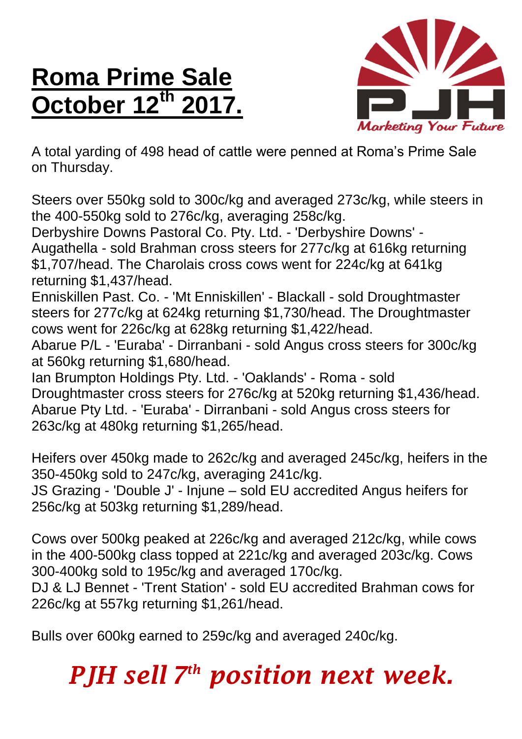## **Roma Prime Sale October 12 th 2017.**



A total yarding of 498 head of cattle were penned at Roma's Prime Sale on Thursday.

Steers over 550kg sold to 300c/kg and averaged 273c/kg, while steers in the 400-550kg sold to 276c/kg, averaging 258c/kg.

Derbyshire Downs Pastoral Co. Pty. Ltd. - 'Derbyshire Downs' - Augathella - sold Brahman cross steers for 277c/kg at 616kg returning \$1,707/head. The Charolais cross cows went for 224c/kg at 641kg returning \$1,437/head.

Enniskillen Past. Co. - 'Mt Enniskillen' - Blackall - sold Droughtmaster steers for 277c/kg at 624kg returning \$1,730/head. The Droughtmaster cows went for 226c/kg at 628kg returning \$1,422/head.

Abarue P/L - 'Euraba' - Dirranbani - sold Angus cross steers for 300c/kg at 560kg returning \$1,680/head.

Ian Brumpton Holdings Pty. Ltd. - 'Oaklands' - Roma - sold Droughtmaster cross steers for 276c/kg at 520kg returning \$1,436/head. Abarue Pty Ltd. - 'Euraba' - Dirranbani - sold Angus cross steers for 263c/kg at 480kg returning \$1,265/head.

Heifers over 450kg made to 262c/kg and averaged 245c/kg, heifers in the 350-450kg sold to 247c/kg, averaging 241c/kg.

JS Grazing - 'Double J' - Injune – sold EU accredited Angus heifers for 256c/kg at 503kg returning \$1,289/head.

Cows over 500kg peaked at 226c/kg and averaged 212c/kg, while cows in the 400-500kg class topped at 221c/kg and averaged 203c/kg. Cows 300-400kg sold to 195c/kg and averaged 170c/kg.

DJ & LJ Bennet - 'Trent Station' - sold EU accredited Brahman cows for 226c/kg at 557kg returning \$1,261/head.

Bulls over 600kg earned to 259c/kg and averaged 240c/kg.

## *PJH sell 7 th position next week.*